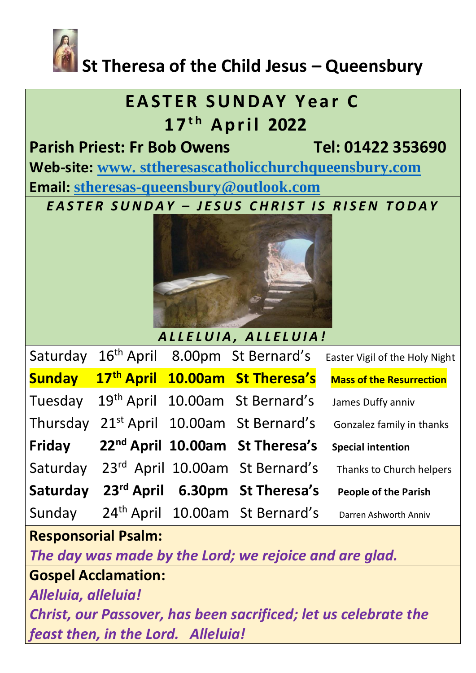

# **St Theresa of the Child Jesus – Queensbury**

## **EASTER SUNDAY Year C 1 7t h A p r i l 2022**

**Parish Priest: Fr Bob Owens Tel: 01422 353690 Web-site: www. [sttheresascatholicchurchqueensbury.com](http://www.sttheresascatholicchurchqueensbury.com/) Email: [stheresas-queensbury@outlook.com](mailto:stheresas-queensbury@outlook.com)**

*E A S T E R S U N D A Y – J E S U S C H R I S T I S R I S E N T O D A Y*



*A L L E L U I A , A L L E L U I A !*

| Saturday      |  | 16 <sup>th</sup> April 8.00pm St Bernard's           | Easter Vigil of the Holy Night  |
|---------------|--|------------------------------------------------------|---------------------------------|
| <b>Sunday</b> |  | 17th April 10.00am St Theresa's                      | <b>Mass of the Resurrection</b> |
| Tuesday       |  | 19 <sup>th</sup> April 10.00am St Bernard's          | James Duffy anniv               |
|               |  | Thursday 21 <sup>st</sup> April 10.00am St Bernard's | Gonzalez family in thanks       |
| Friday        |  | 22 <sup>nd</sup> April 10.00am St Theresa's          | <b>Special intention</b>        |
| Saturday      |  | 23rd April 10.00am St Bernard's                      | Thanks to Church helpers        |
| Saturday      |  | 23rd April 6.30pm St Theresa's                       | <b>People of the Parish</b>     |
| Sunday        |  | 24 <sup>th</sup> April 10.00am St Bernard's          | Darren Ashworth Anniv           |

**Responsorial Psalm:** 

*The day was made by the Lord; we rejoice and are glad.*

**Gospel Acclamation:**

*Alleluia, alleluia!*

*Christ, our Passover, has been sacrificed; let us celebrate the feast then, in the Lord. Alleluia!*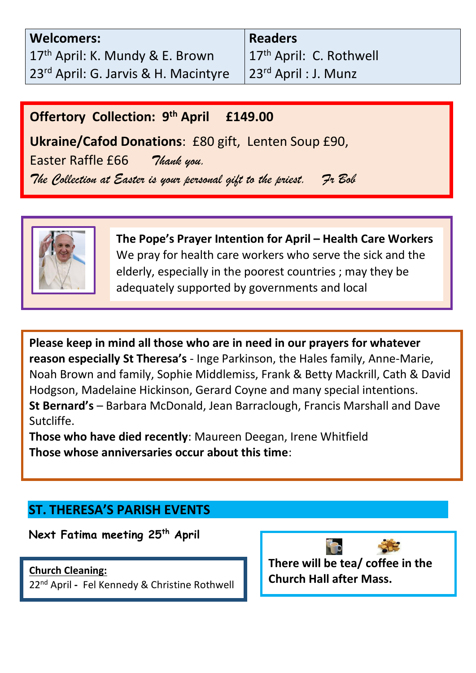| <b>Welcomers:</b>                           |
|---------------------------------------------|
| 17 <sup>th</sup> April: K. Mundy & E. Brown |
| 23rd April: G. Jarvis & H. Macintyre        |

**Readers** 17<sup>th</sup> April: C. Rothwell 23rd April : J. Munz

### **Offertory Collection: 9 th April £149.00**

communities**.**

**Ukraine/Cafod Donations**: £80 gift, Lenten Soup £90,

 *The Collection at Easter is your personal gift to the priest. Fr Bob*  Easter Raffle £66 *Thank you.* 



**The Pope's Prayer Intention for April – Health Care Workers**  We pray for health care workers who serve the sick and the elderly, especially in the poorest countries ; may they be adequately supported by governments and local

**Please keep in mind all those who are in need in our prayers for whatever reason especially St Theresa's** - Inge Parkinson, the Hales family, Anne-Marie, Noah Brown and family, Sophie Middlemiss, Frank & Betty Mackrill, Cath & David Hodgson, Madelaine Hickinson, Gerard Coyne and many special intentions. **St Bernard's** – Barbara McDonald, Jean Barraclough, Francis Marshall and Dave Sutcliffe.

**Those who have died recently**: Maureen Deegan, Irene Whitfield **Those whose anniversaries occur about this time**:

### **ST. THERESA'S PARISH EVENTS**

**Next Fatima meeting 25th April**

#### **Church Cleaning:**

22nd April **-** Fel Kennedy & Christine Rothwell

**There will be tea/ coffee in the Church Hall after Mass.**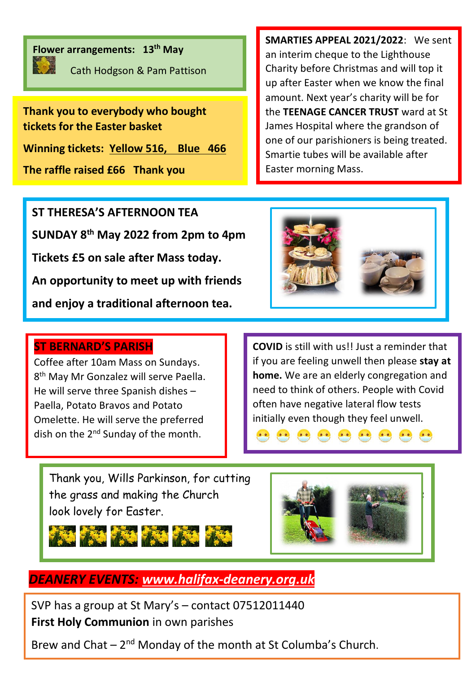

**Flower arrangements: 13th May** 

Cath Hodgson & Pam Pattison

**Thank you to everybody who bought tickets for the Easter basket** 

**Winning tickets: Yellow 516, Blue 466**

**The raffle raised £66 Thank you**

**SMARTIES APPEAL 2021/2022**: We sent an interim cheque to the Lighthouse Charity before Christmas and will top it up after Easter when we know the final amount. Next year's charity will be for the **TEENAGE CANCER TRUST** ward at St James Hospital where the grandson of one of our parishioners is being treated. Smartie tubes will be available after Easter morning Mass.

**ST THERESA'S AFTERNOON TEA SUNDAY 8th May 2022 from 2pm to 4pm Tickets £5 on sale after Mass today. An opportunity to meet up with friends and enjoy a traditional afternoon tea.**

#### **ST BERNARD'S PARISH**

Coffee after 10am Mass on Sundays. 8<sup>th</sup> May Mr Gonzalez will serve Paella. He will serve three Spanish dishes – Paella, Potato Bravos and Potato Omelette. He will serve the preferred dish on the 2<sup>nd</sup> Sunday of the month.



**COVID** is still with us!! Just a reminder that if you are feeling unwell then please **stay at home.** We are an elderly congregation and need to think of others. People with Covid often have negative lateral flow tests initially even though they feel unwell.

Thank you, Wills Parkinson, for cutting the grass and making the Church look lovely for Easter.





*DEANERY EVENTS: [www.halifax-deanery.org.uk](http://www.halifax-deanery.org.uk/)*

SVP has a group at St Mary's – contact 07512011440 **First Holy Communion** in own parishes

Brew and Chat  $-2<sup>nd</sup>$  Monday of the month at St Columba's Church.